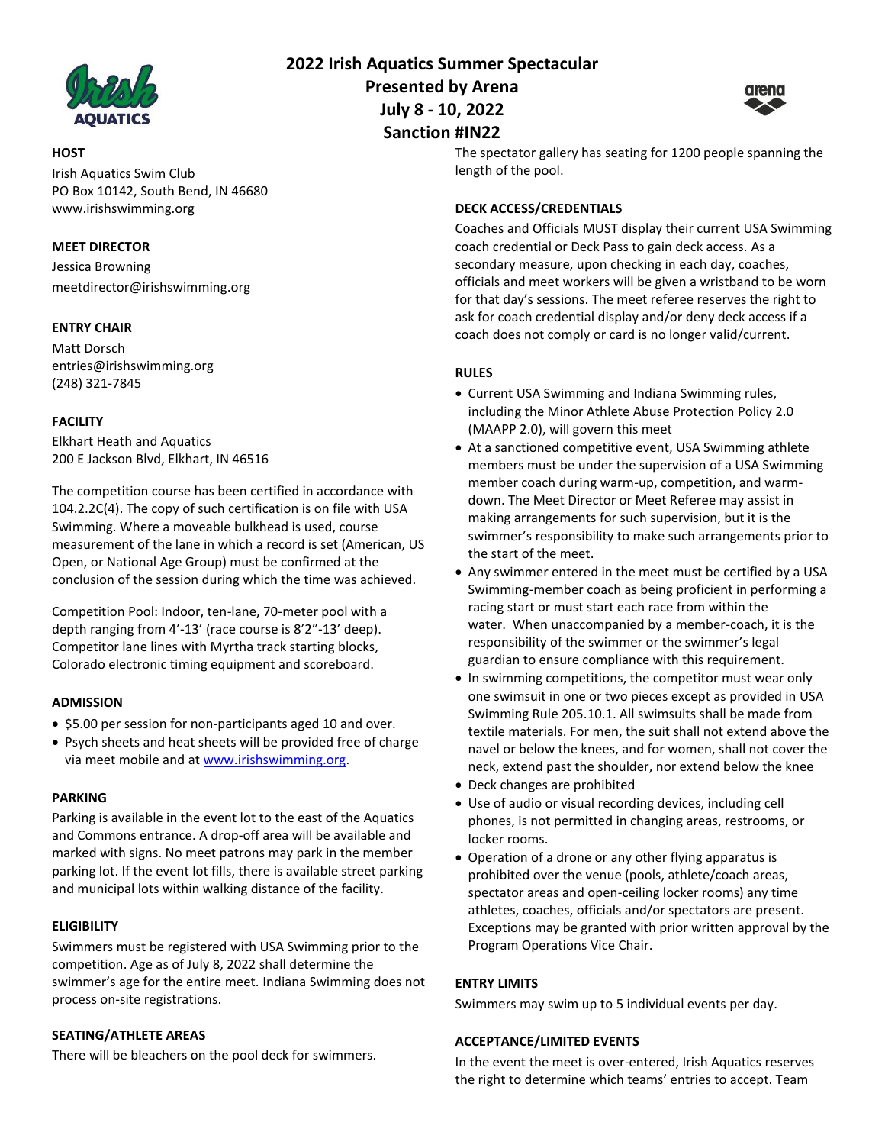

## **HOST**

Irish Aquatics Swim Club PO Box 10142, South Bend, IN 46680 www.irishswimming.org

## **MEET DIRECTOR**

Jessica Browning meetdirector@irishswimming.org

# **ENTRY CHAIR**

Matt Dorsch entries@irishswimming.org (248) 321-7845

# **FACILITY**

Elkhart Heath and Aquatics 200 E Jackson Blvd, Elkhart, IN 46516

The competition course has been certified in accordance with 104.2.2C(4). The copy of such certification is on file with USA Swimming. Where a moveable bulkhead is used, course measurement of the lane in which a record is set (American, US Open, or National Age Group) must be confirmed at the conclusion of the session during which the time was achieved.

Competition Pool: Indoor, ten-lane, 70-meter pool with a depth ranging from 4'-13' (race course is 8'2"-13' deep). Competitor lane lines with Myrtha track starting blocks, Colorado electronic timing equipment and scoreboard.

## **ADMISSION**

- \$5.00 per session for non-participants aged 10 and over.
- Psych sheets and heat sheets will be provided free of charge via meet mobile and a[t www.irishswimming.org.](http://www.irishswimming.org/)

## **PARKING**

Parking is available in the event lot to the east of the Aquatics and Commons entrance. A drop-off area will be available and marked with signs. No meet patrons may park in the member parking lot. If the event lot fills, there is available street parking and municipal lots within walking distance of the facility.

## **ELIGIBILITY**

Swimmers must be registered with USA Swimming prior to the competition. Age as of July 8, 2022 shall determine the swimmer's age for the entire meet. Indiana Swimming does not process on-site registrations.

# **SEATING/ATHLETE AREAS**

There will be bleachers on the pool deck for swimmers.

**2022 Irish Aquatics Summer Spectacular Presented by Arena July 8 - 10, 2022 Sanction #IN22**



# The spectator gallery has seating for 1200 people spanning the length of the pool.

# **DECK ACCESS/CREDENTIALS**

Coaches and Officials MUST display their current USA Swimming coach credential or Deck Pass to gain deck access. As a secondary measure, upon checking in each day, coaches, officials and meet workers will be given a wristband to be worn for that day's sessions. The meet referee reserves the right to ask for coach credential display and/or deny deck access if a coach does not comply or card is no longer valid/current.

# **RULES**

- Current USA Swimming and Indiana Swimming rules, including the Minor Athlete Abuse Protection Policy 2.0 (MAAPP 2.0), will govern this meet
- At a sanctioned competitive event, USA Swimming athlete members must be under the supervision of a USA Swimming member coach during warm-up, competition, and warmdown. The Meet Director or Meet Referee may assist in making arrangements for such supervision, but it is the swimmer's responsibility to make such arrangements prior to the start of the meet.
- Any swimmer entered in the meet must be certified by a USA Swimming-member coach as being proficient in performing a racing start or must start each race from within the water. When unaccompanied by a member-coach, it is the responsibility of the swimmer or the swimmer's legal guardian to ensure compliance with this requirement.
- In swimming competitions, the competitor must wear only one swimsuit in one or two pieces except as provided in USA Swimming Rule 205.10.1. All swimsuits shall be made from textile materials. For men, the suit shall not extend above the navel or below the knees, and for women, shall not cover the neck, extend past the shoulder, nor extend below the knee
- Deck changes are prohibited
- Use of audio or visual recording devices, including cell phones, is not permitted in changing areas, restrooms, or locker rooms.
- Operation of a drone or any other flying apparatus is prohibited over the venue (pools, athlete/coach areas, spectator areas and open-ceiling locker rooms) any time athletes, coaches, officials and/or spectators are present. Exceptions may be granted with prior written approval by the Program Operations Vice Chair.

## **ENTRY LIMITS**

Swimmers may swim up to 5 individual events per day.

## **ACCEPTANCE/LIMITED EVENTS**

In the event the meet is over-entered, Irish Aquatics reserves the right to determine which teams' entries to accept. Team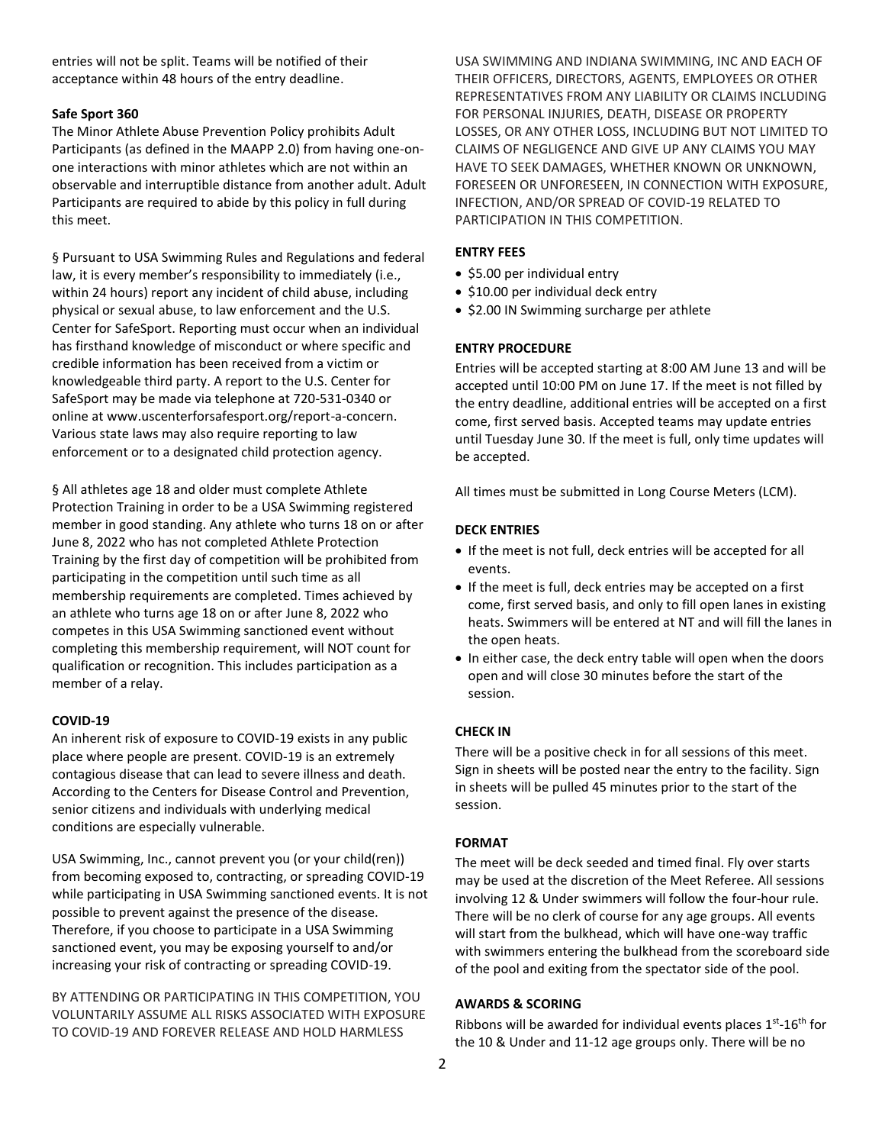entries will not be split. Teams will be notified of their acceptance within 48 hours of the entry deadline.

#### **Safe Sport 360**

The Minor Athlete Abuse Prevention Policy prohibits Adult Participants (as defined in the MAAPP 2.0) from having one-onone interactions with minor athletes which are not within an observable and interruptible distance from another adult. Adult Participants are required to abide by this policy in full during this meet.

§ Pursuant to USA Swimming Rules and Regulations and federal law, it is every member's responsibility to immediately (i.e., within 24 hours) report any incident of child abuse, including physical or sexual abuse, to law enforcement and the U.S. Center for SafeSport. Reporting must occur when an individual has firsthand knowledge of misconduct or where specific and credible information has been received from a victim or knowledgeable third party. A report to the U.S. Center for SafeSport may be made via telephone at 720-531-0340 or online at www.uscenterforsafesport.org/report-a-concern. Various state laws may also require reporting to law enforcement or to a designated child protection agency.

§ All athletes age 18 and older must complete Athlete Protection Training in order to be a USA Swimming registered member in good standing. Any athlete who turns 18 on or after June 8, 2022 who has not completed Athlete Protection Training by the first day of competition will be prohibited from participating in the competition until such time as all membership requirements are completed. Times achieved by an athlete who turns age 18 on or after June 8, 2022 who competes in this USA Swimming sanctioned event without completing this membership requirement, will NOT count for qualification or recognition. This includes participation as a member of a relay.

#### **COVID-19**

An inherent risk of exposure to COVID-19 exists in any public place where people are present. COVID-19 is an extremely contagious disease that can lead to severe illness and death. According to the Centers for Disease Control and Prevention, senior citizens and individuals with underlying medical conditions are especially vulnerable.

USA Swimming, Inc., cannot prevent you (or your child(ren)) from becoming exposed to, contracting, or spreading COVID-19 while participating in USA Swimming sanctioned events. It is not possible to prevent against the presence of the disease. Therefore, if you choose to participate in a USA Swimming sanctioned event, you may be exposing yourself to and/or increasing your risk of contracting or spreading COVID-19.

BY ATTENDING OR PARTICIPATING IN THIS COMPETITION, YOU VOLUNTARILY ASSUME ALL RISKS ASSOCIATED WITH EXPOSURE TO COVID-19 AND FOREVER RELEASE AND HOLD HARMLESS

USA SWIMMING AND INDIANA SWIMMING, INC AND EACH OF THEIR OFFICERS, DIRECTORS, AGENTS, EMPLOYEES OR OTHER REPRESENTATIVES FROM ANY LIABILITY OR CLAIMS INCLUDING FOR PERSONAL INJURIES, DEATH, DISEASE OR PROPERTY LOSSES, OR ANY OTHER LOSS, INCLUDING BUT NOT LIMITED TO CLAIMS OF NEGLIGENCE AND GIVE UP ANY CLAIMS YOU MAY HAVE TO SEEK DAMAGES, WHETHER KNOWN OR UNKNOWN, FORESEEN OR UNFORESEEN, IN CONNECTION WITH EXPOSURE, INFECTION, AND/OR SPREAD OF COVID-19 RELATED TO PARTICIPATION IN THIS COMPETITION.

#### **ENTRY FEES**

- \$5.00 per individual entry
- \$10.00 per individual deck entry
- \$2.00 IN Swimming surcharge per athlete

#### **ENTRY PROCEDURE**

Entries will be accepted starting at 8:00 AM June 13 and will be accepted until 10:00 PM on June 17. If the meet is not filled by the entry deadline, additional entries will be accepted on a first come, first served basis. Accepted teams may update entries until Tuesday June 30. If the meet is full, only time updates will be accepted.

All times must be submitted in Long Course Meters (LCM).

#### **DECK ENTRIES**

- If the meet is not full, deck entries will be accepted for all events.
- If the meet is full, deck entries may be accepted on a first come, first served basis, and only to fill open lanes in existing heats. Swimmers will be entered at NT and will fill the lanes in the open heats.
- In either case, the deck entry table will open when the doors open and will close 30 minutes before the start of the session.

## **CHECK IN**

There will be a positive check in for all sessions of this meet. Sign in sheets will be posted near the entry to the facility. Sign in sheets will be pulled 45 minutes prior to the start of the session.

## **FORMAT**

The meet will be deck seeded and timed final. Fly over starts may be used at the discretion of the Meet Referee. All sessions involving 12 & Under swimmers will follow the four-hour rule. There will be no clerk of course for any age groups. All events will start from the bulkhead, which will have one-way traffic with swimmers entering the bulkhead from the scoreboard side of the pool and exiting from the spectator side of the pool.

## **AWARDS & SCORING**

Ribbons will be awarded for individual events places  $1<sup>st</sup>$ -16<sup>th</sup> for the 10 & Under and 11-12 age groups only. There will be no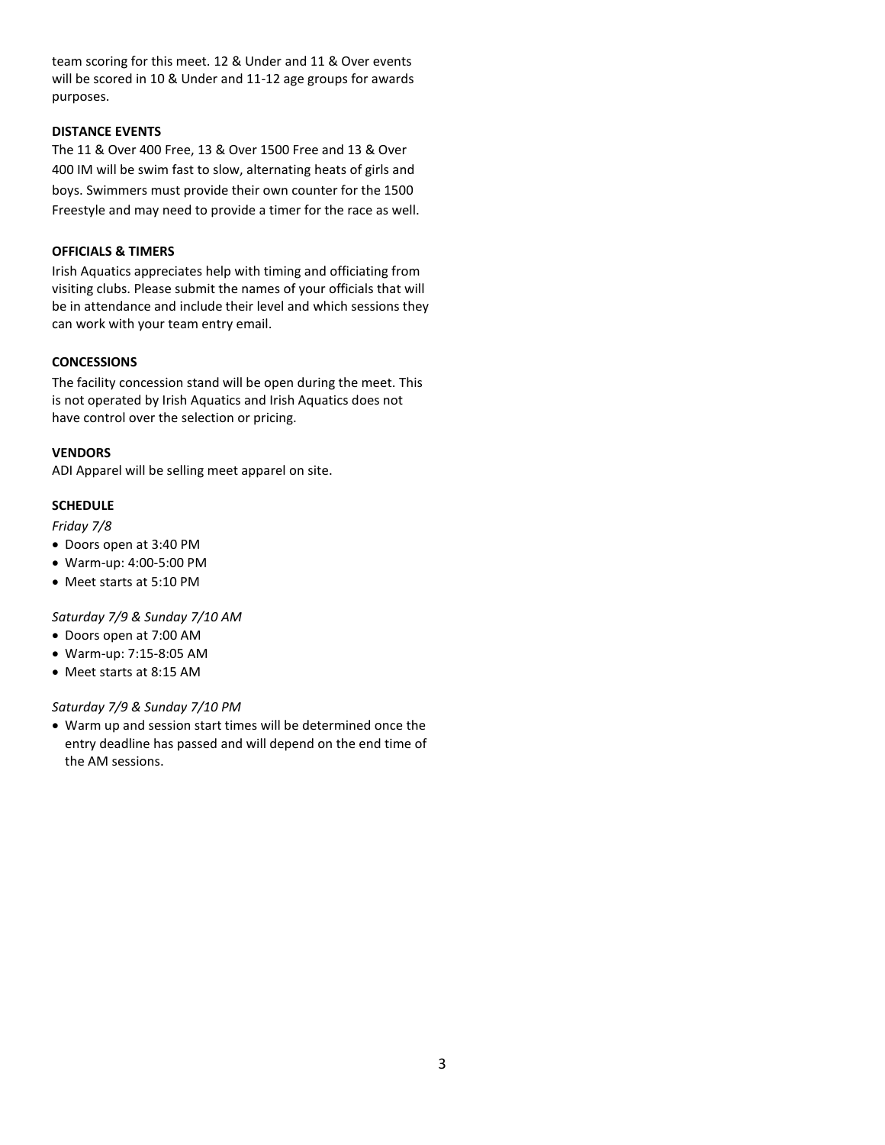team scoring for this meet. 12 & Under and 11 & Over events will be scored in 10 & Under and 11-12 age groups for awards purposes.

#### **DISTANCE EVENTS**

The 11 & Over 400 Free, 13 & Over 1500 Free and 13 & Over 400 IM will be swim fast to slow, alternating heats of girls and boys. Swimmers must provide their own counter for the 1500 Freestyle and may need to provide a timer for the race as well.

## **OFFICIALS & TIMERS**

Irish Aquatics appreciates help with timing and officiating from visiting clubs. Please submit the names of your officials that will be in attendance and include their level and which sessions they can work with your team entry email.

#### **CONCESSIONS**

The facility concession stand will be open during the meet. This is not operated by Irish Aquatics and Irish Aquatics does not have control over the selection or pricing.

#### **VENDORS**

ADI Apparel will be selling meet apparel on site.

## **SCHEDULE**

#### *Friday 7/8*

- Doors open at 3:40 PM
- Warm-up: 4:00-5:00 PM
- Meet starts at 5:10 PM

*Saturday 7/9 & Sunday 7/10 AM*

- Doors open at 7:00 AM
- Warm-up: 7:15-8:05 AM
- Meet starts at 8:15 AM

## *Saturday 7/9 & Sunday 7/10 PM*

• Warm up and session start times will be determined once the entry deadline has passed and will depend on the end time of the AM sessions.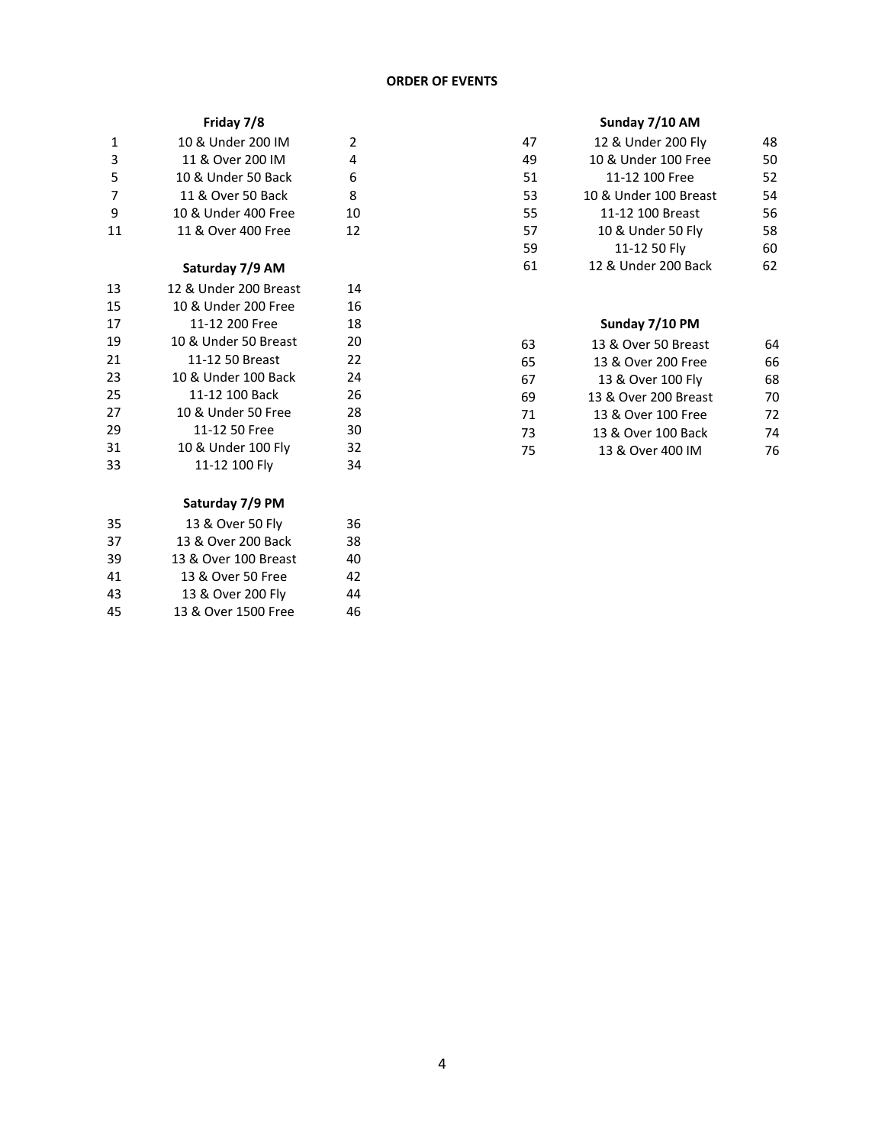# **ORDER OF EVENTS**

# **Friday 7/8**

| 1  | 10 & Under 200 IM   | $\mathcal{L}$ |
|----|---------------------|---------------|
| 3  | 11 & Over 200 IM    | 4             |
| 5  | 10 & Under 50 Back  | 6.            |
| 7  | 11 & Over 50 Back   | 8             |
| 9  | 10 & Under 400 Free | 10            |
| 11 | 11 & Over 400 Free  | 12            |

# **Saturday 7/9 AM**

| 13 | 12 & Under 200 Breast | 14 |
|----|-----------------------|----|
| 15 | 10 & Under 200 Free   | 16 |
| 17 | 11-12 200 Free        | 18 |
| 19 | 10 & Under 50 Breast  | 20 |
| 21 | 11-12 50 Breast       | 22 |
| 23 | 10 & Under 100 Back   | 24 |
| 25 | 11-12 100 Back        | 26 |
| 27 | 10 & Under 50 Free    | 28 |
| 29 | 11-12 50 Free         | 30 |
| 31 | 10 & Under 100 Fly    | 32 |
| 33 | 11-12 100 Fly         | 34 |
|    |                       |    |

# **Saturday 7/9 PM**

| 36 |
|----|
| 38 |
| 40 |
| 42 |
| 44 |
| 46 |
|    |

# **Sunday 7/10 AM**

| 47 | 12 & Under 200 Fly    | 48 |
|----|-----------------------|----|
| 49 | 10 & Under 100 Free   | 50 |
| 51 | 11-12 100 Free        | 52 |
| 53 | 10 & Under 100 Breast | 54 |
| 55 | 11-12 100 Breast      | 56 |
| 57 | 10 & Under 50 Fly     | 58 |
| 59 | 11-12 50 Fly          | 60 |
| 61 | 12 & Under 200 Back   | 62 |

# **Sunday 7/10 PM**

| 63 | 13 & Over 50 Breast  | 64 |
|----|----------------------|----|
| 65 | 13 & Over 200 Free   | 66 |
| 67 | 13 & Over 100 Fly    | 68 |
| 69 | 13 & Over 200 Breast | 70 |
| 71 | 13 & Over 100 Free   | 72 |
| 73 | 13 & Over 100 Back   | 74 |
| 75 | 13 & Over 400 IM     | 76 |